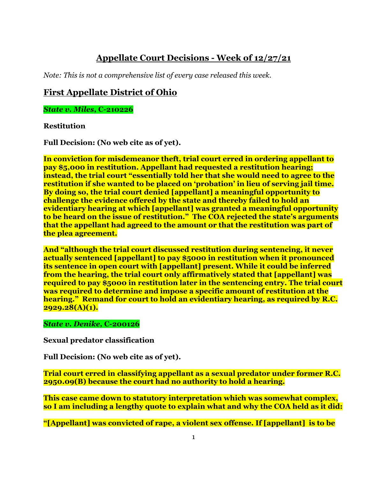# **Appellate Court Decisions - Week of 12/27/21**

*Note: This is not a comprehensive list of every case released this week.*

## **First Appellate District of Ohio**

*State v. Miles,* **C-210226**

#### **Restitution**

**Full Decision: (No web cite as of yet).**

**In conviction for misdemeanor theft, trial court erred in ordering appellant to pay \$5,000 in restitution. Appellant had requested a restitution hearing; instead, the trial court "essentially told her that she would need to agree to the restitution if she wanted to be placed on 'probation' in lieu of serving jail time. By doing so, the trial court denied [appellant] a meaningful opportunity to challenge the evidence offered by the state and thereby failed to hold an evidentiary hearing at which [appellant] was granted a meaningful opportunity to be heard on the issue of restitution." The COA rejected the state's arguments that the appellant had agreed to the amount or that the restitution was part of the plea agreement.**

**And "although the trial court discussed restitution during sentencing, it never actually sentenced [appellant] to pay \$5000 in restitution when it pronounced its sentence in open court with [appellant] present. While it could be inferred from the hearing, the trial court only affirmatively stated that [appellant] was required to pay \$5000 in restitution later in the sentencing entry. The trial court was required to determine and impose a specific amount of restitution at the hearing." Remand for court to hold an evidentiary hearing, as required by R.C. 2929.28(A)(1).** 

#### *State v. Denike,* **C-200126**

**Sexual predator classification**

**Full Decision: (No web cite as of yet).**

**Trial court erred in classifying appellant as a sexual predator under former R.C. 2950.09(B) because the court had no authority to hold a hearing.** 

**This case came down to statutory interpretation which was somewhat complex, so I am including a lengthy quote to explain what and why the COA held as it did:**

**"[Appellant] was convicted of rape, a violent sex offense. If [appellant] is to be**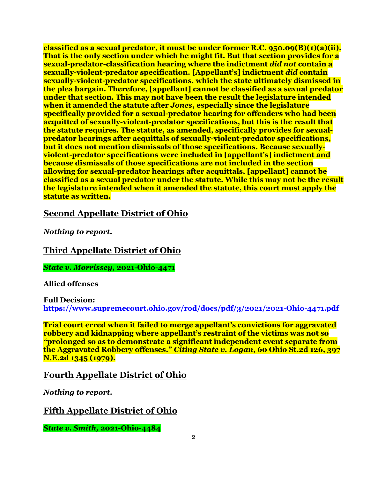**classified as a sexual predator, it must be under former R.C. 950.09(B)(1)(a)(ii). That is the only section under which he might fit. But that section provides for a sexual-predator-classification hearing where the indictment** *did not* **contain a sexually-violent-predator specification. [Appellant's] indictment** *did* **contain sexually-violent-predator specifications, which the state ultimately dismissed in the plea bargain. Therefore, [appellant] cannot be classified as a sexual predator under that section. This may not have been the result the legislature intended when it amended the statute after** *Jones***, especially since the legislature specifically provided for a sexual-predator hearing for offenders who had been acquitted of sexually-violent-predator specifications, but this is the result that the statute requires. The statute, as amended, specifically provides for sexualpredator hearings after acquittals of sexually-violent-predator specifications, but it does not mention dismissals of those specifications. Because sexuallyviolent-predator specifications were included in [appellant's] indictment and because dismissals of those specifications are not included in the section allowing for sexual-predator hearings after acquittals, [appellant] cannot be classified as a sexual predator under the statute. While this may not be the result the legislature intended when it amended the statute, this court must apply the statute as written.** 

### **Second Appellate District of Ohio**

*Nothing to report.*

## **Third Appellate District of Ohio**

*State v. Morrissey,* **2021-Ohio-4471**

#### **Allied offenses**

**Full Decision: <https://www.supremecourt.ohio.gov/rod/docs/pdf/3/2021/2021-Ohio-4471.pdf>**

**Trial court erred when it failed to merge appellant's convictions for aggravated robbery and kidnapping where appellant's restraint of the victims was not so "prolonged so as to demonstrate a significant independent event separate from the Aggravated Robbery offenses."** *Citing State v. Logan***, 60 Ohio St.2d 126, 397 N.E.2d 1345 (1979).** 

### **Fourth Appellate District of Ohio**

*Nothing to report.*

## **Fifth Appellate District of Ohio**

*State v. Smith,* **2021-Ohio-4484**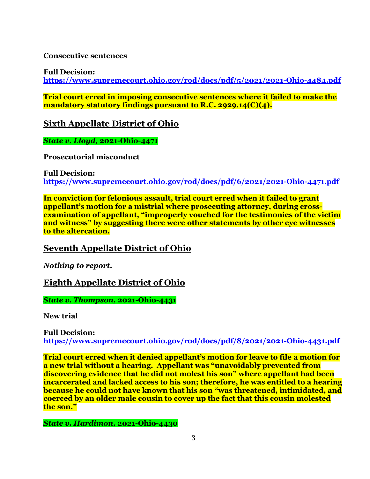**Consecutive sentences**

**Full Decision:**

**<https://www.supremecourt.ohio.gov/rod/docs/pdf/5/2021/2021-Ohio-4484.pdf>**

**Trial court erred in imposing consecutive sentences where it failed to make the mandatory statutory findings pursuant to R.C. 2929.14(C)(4).** 

**Sixth Appellate District of Ohio**

*State v. Lloyd,* **2021-Ohio-4471**

**Prosecutorial misconduct**

**Full Decision: <https://www.supremecourt.ohio.gov/rod/docs/pdf/6/2021/2021-Ohio-4471.pdf>**

**In conviction for felonious assault, trial court erred when it failed to grant appellant's motion for a mistrial where prosecuting attorney, during crossexamination of appellant, "improperly vouched for the testimonies of the victim and witness" by suggesting there were other statements by other eye witnesses to the altercation.**

### **Seventh Appellate District of Ohio**

*Nothing to report.*

### **Eighth Appellate District of Ohio**

*State v. Thompson,* **2021-Ohio-4431**

**New trial**

**Full Decision: <https://www.supremecourt.ohio.gov/rod/docs/pdf/8/2021/2021-Ohio-4431.pdf>**

**Trial court erred when it denied appellant's motion for leave to file a motion for a new trial without a hearing. Appellant was "unavoidably prevented from discovering evidence that he did not molest his son" where appellant had been incarcerated and lacked access to his son; therefore, he was entitled to a hearing because he could not have known that his son "was threatened, intimidated, and coerced by an older male cousin to cover up the fact that this cousin molested the son."** 

*State v. Hardimon,* **2021-Ohio-4430**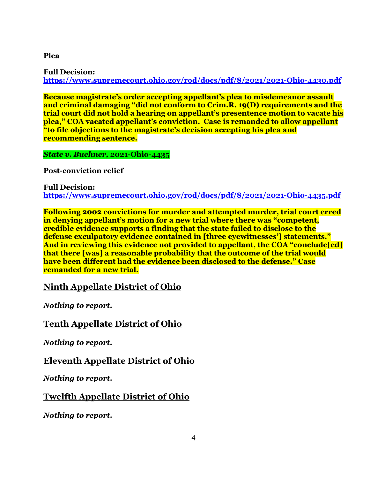**Plea**

**Full Decision: <https://www.supremecourt.ohio.gov/rod/docs/pdf/8/2021/2021-Ohio-4430.pdf>**

**Because magistrate's order accepting appellant's plea to misdemeanor assault and criminal damaging "did not conform to Crim.R. 19(D) requirements and the trial court did not hold a hearing on appellant's presentence motion to vacate his plea," COA vacated appellant's conviction. Case is remanded to allow appellant "to file objections to the magistrate's decision accepting his plea and recommending sentence.**

*State v. Buehner,* **2021-Ohio-4435**

**Post-conviction relief**

**Full Decision: <https://www.supremecourt.ohio.gov/rod/docs/pdf/8/2021/2021-Ohio-4435.pdf>**

**Following 2002 convictions for murder and attempted murder, trial court erred in denying appellant's motion for a new trial where there was "competent, credible evidence supports a finding that the state failed to disclose to the defense exculpatory evidence contained in [three eyewitnesses'] statements." And in reviewing this evidence not provided to appellant, the COA "conclude[ed] that there [was] a reasonable probability that the outcome of the trial would have been different had the evidence been disclosed to the defense." Case remanded for a new trial.**

**Ninth Appellate District of Ohio**

*Nothing to report.*

**Tenth Appellate District of Ohio**

*Nothing to report.*

**Eleventh Appellate District of Ohio**

*Nothing to report.*

**Twelfth Appellate District of Ohio**

*Nothing to report.*